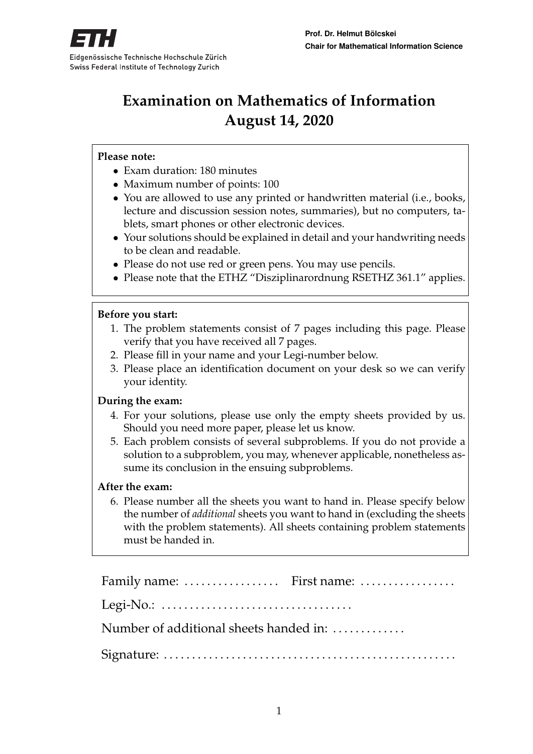

# **Examination on Mathematics of Information August 14, 2020**

### **Please note:**

- Exam duration: 180 minutes
- Maximum number of points: 100
- You are allowed to use any printed or handwritten material (i.e., books, lecture and discussion session notes, summaries), but no computers, tablets, smart phones or other electronic devices.
- Your solutions should be explained in detail and your handwriting needs to be clean and readable.
- Please do not use red or green pens. You may use pencils.
- Please note that the ETHZ "Disziplinarordnung RSETHZ 361.1" applies.

#### **Before you start:**

- 1. The problem statements consist of 7 pages including this page. Please verify that you have received all 7 pages.
- 2. Please fill in your name and your Legi-number below.
- 3. Please place an identification document on your desk so we can verify your identity.

### **During the exam:**

- 4. For your solutions, please use only the empty sheets provided by us. Should you need more paper, please let us know.
- 5. Each problem consists of several subproblems. If you do not provide a solution to a subproblem, you may, whenever applicable, nonetheless assume its conclusion in the ensuing subproblems.

#### **After the exam:**

6. Please number all the sheets you want to hand in. Please specify below the number of *additional* sheets you want to hand in (excluding the sheets with the problem statements). All sheets containing problem statements must be handed in.

| Family name:  First name:                                                     |  |
|-------------------------------------------------------------------------------|--|
| Legi-No.: $\dots \dots \dots \dots \dots \dots \dots \dots \dots \dots \dots$ |  |
| Number of additional sheets handed in:                                        |  |
|                                                                               |  |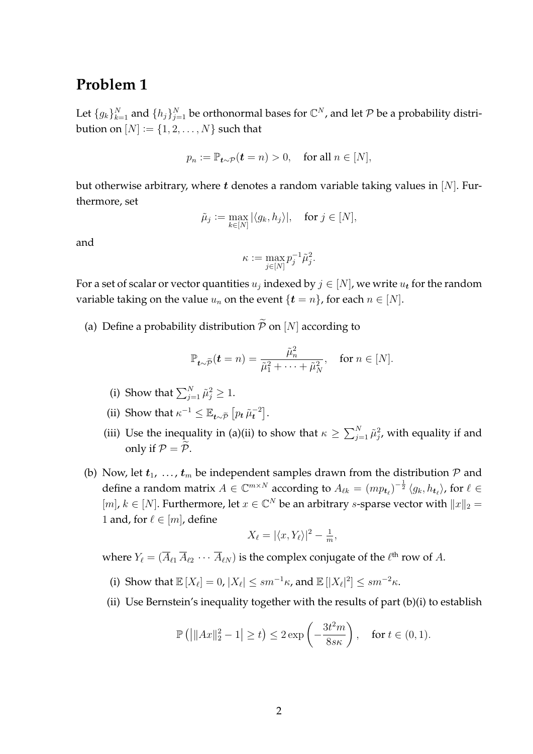Let  $\{g_k\}_{k=1}^N$  and  $\{h_j\}_{j=1}^N$  be orthonormal bases for  $\mathbb{C}^N$ , and let  $\mathcal P$  be a probability distribution on  $[N] := \{1, 2, \ldots, N\}$  such that

$$
p_n := \mathbb{P}_{t \sim \mathcal{P}}(t = n) > 0, \quad \text{for all } n \in [N],
$$

but otherwise arbitrary, where t denotes a random variable taking values in  $[N]$ . Furthermore, set

$$
\tilde{\mu}_j := \max_{k \in [N]} |\langle g_k, h_j \rangle|, \quad \text{for } j \in [N],
$$

and

$$
\kappa \vcentcolon= \max_{j \in [N]} p_j^{-1} \tilde{\mu}_j^2.
$$

For a set of scalar or vector quantities  $u_j$  indexed by  $j \in [N]$ , we write  $u_{\boldsymbol{t}}$  for the random variable taking on the value  $u_n$  on the event  $\{t = n\}$ , for each  $n \in [N]$ .

(a) Define a probability distribution  $\widetilde{\mathcal{P}}$  on [N] according to

$$
\mathbb{P}_{t\sim\widetilde{\mathcal{P}}}(t=n)=\frac{\widetilde{\mu}_n^2}{\widetilde{\mu}_1^2+\cdots+\widetilde{\mu}_N^2}, \quad \text{for } n\in[N].
$$

- (i) Show that  $\sum_{j=1}^{N} \tilde{\mu}_j^2 \geq 1$ .
- (ii) Show that  $\kappa^{-1} \leq \mathbb{E}_{t \sim \widetilde{\mathcal{P}}}\left[ p_t \tilde{\mu}_t^{-2} \right]$ .
- (iii) Use the inequality in (a)(ii) to show that  $\kappa \ge \sum_{j=1}^N \tilde{\mu}_j^2$ , with equality if and only if  $P = \widetilde{P}$ .
- (b) Now, let  $t_1$ , ...,  $t_m$  be independent samples drawn from the distribution  $P$  and define a random matrix  $A\in \mathbb{C}^{m\times N}$  according to  $A_{\ell k}=(mp_{\bm t_{\ell}})^{-\frac{1}{2}}\langle g_k,h_{\bm t_{\ell}}\rangle$ , for  $\ell\in$ [m],  $k \in [N]$ . Furthermore, let  $x \in \mathbb{C}^N$  be an arbitrary *s*-sparse vector with  $||x||_2 =$ 1 and, for  $\ell \in [m]$ , define

$$
X_{\ell} = |\langle x, Y_{\ell} \rangle|^2 - \frac{1}{m},
$$

where  $Y_\ell = (\overline A_{\ell 1}\, \overline A_{\ell 2}\, \cdots \, \overline A_{\ell N})$  is the complex conjugate of the  $\ell^{\rm th}$  row of  $A.$ 

- (i) Show that  $\mathbb{E}[X_\ell] = 0$ ,  $|X_\ell| \leq sm^{-1}\kappa$ , and  $\mathbb{E}[|X_\ell|^2] \leq sm^{-2}\kappa$ .
- (ii) Use Bernstein's inequality together with the results of part (b)(i) to establish

$$
\mathbb{P}\left(\left|\|Ax\|_2^2 - 1\right| \ge t\right) \le 2\exp\left(-\frac{3t^2m}{8s\kappa}\right), \quad \text{for } t \in (0,1).
$$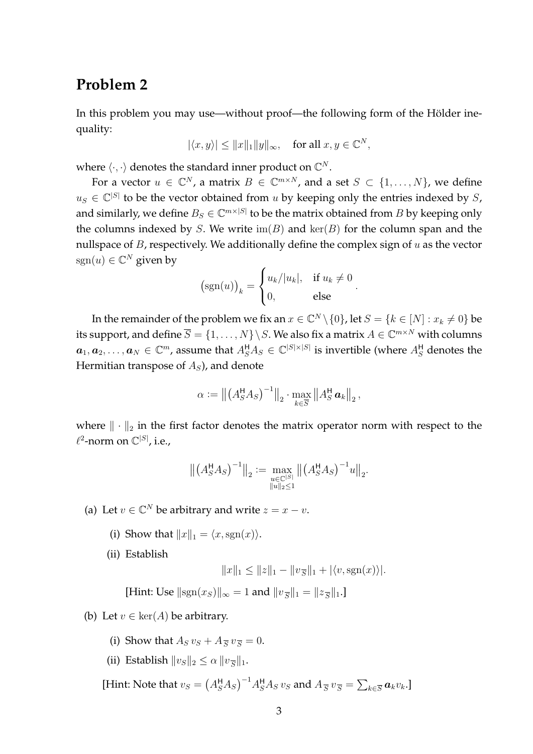In this problem you may use—without proof—the following form of the Hölder inequality:

$$
|\langle x, y \rangle| \le ||x||_1 ||y||_{\infty}, \text{ for all } x, y \in \mathbb{C}^N,
$$

where  $\langle \cdot, \cdot \rangle$  denotes the standard inner product on  $\mathbb{C}^N$ .

For a vector  $u \in \mathbb{C}^N$ , a matrix  $B \in \mathbb{C}^{m \times N}$ , and a set  $S \subset \{1, \ldots, N\}$ , we define  $u_S \in \mathbb{C}^{|S|}$  to be the vector obtained from u by keeping only the entries indexed by S, and similarly, we define  $B_S \in \mathbb{C}^{m \times |S|}$  to be the matrix obtained from  $B$  by keeping only the columns indexed by S. We write  $\text{im}(B)$  and  $\text{ker}(B)$  for the column span and the nullspace of  $B$ , respectively. We additionally define the complex sign of  $u$  as the vector  $sgn(u) \in \mathbb{C}^N$  given by

$$
(\operatorname{sgn}(u))_k = \begin{cases} u_k/|u_k|, & \text{if } u_k \neq 0 \\ 0, & \text{else} \end{cases}
$$

.

In the remainder of the problem we fix an  $x \in \mathbb{C}^N \setminus \{0\}$ , let  $S = \{k \in [N] : x_k \neq 0\}$  be its support, and define  $\overline{S} = \{1,\ldots,N\}\!\setminus\! S.$  We also fix a matrix  $A\in{\mathbb C}^{m\times N}$  with columns  $\bm{a}_1,\bm{a}_2,\ldots,\bm{a}_N\in\mathbb{C}^m$ , assume that  $A_S^{\sf H}A_S\in\mathbb{C}^{|S|\times |S|}$  is invertible (where  $A_S^{\sf H}$  denotes the Hermitian transpose of  $A<sub>S</sub>$ ), and denote

$$
\alpha := \left\| \left( A_S^{\mathsf{H}} A_S \right)^{-1} \right\|_2 \cdot \max_{k \in \overline{S}} \left\| A_S^{\mathsf{H}} \mathbf{a}_k \right\|_2,
$$

where  $\|\cdot\|_2$  in the first factor denotes the matrix operator norm with respect to the  $\ell^2$ -norm on  $\mathbb{C}^{|S|}$ , i.e.,

$$
\left\| \left( A_S^{\mathsf{H}} A_S \right)^{-1} \right\|_2 := \max_{\substack{u \in \mathbb{C}^{|S|} \\ \|u\|_2 \le 1}} \left\| \left( A_S^{\mathsf{H}} A_S \right)^{-1} u \right\|_2.
$$

(a) Let  $v \in \mathbb{C}^N$  be arbitrary and write  $z = x - v$ .

- (i) Show that  $||x||_1 = \langle x, \text{sgn}(x) \rangle$ .
- (ii) Establish

$$
||x||_1 \le ||z||_1 - ||v_{\overline{S}}||_1 + |\langle v, \text{sgn}(x) \rangle|.
$$

[Hint: Use  $||sgn(x_S)||_{\infty} = 1$  and  $||v_{\overline{S}}||_1 = ||z_{\overline{S}}||_1$ .]

- (b) Let  $v \in \text{ker}(A)$  be arbitrary.
	- (i) Show that  $A_S v_S + A_{\overline{S}} v_{\overline{S}} = 0$ .
	- (ii) Establish  $||v_S||_2 \le \alpha ||v_{\overline{S}}||_1$ .

[Hint: Note that  $v_S = (A_S^H A_S)^{-1} A_S^H A_S v_S$  and  $A_{\overline{S}} v_{\overline{S}} = \sum_{k \in \overline{S}} a_k v_k$ .]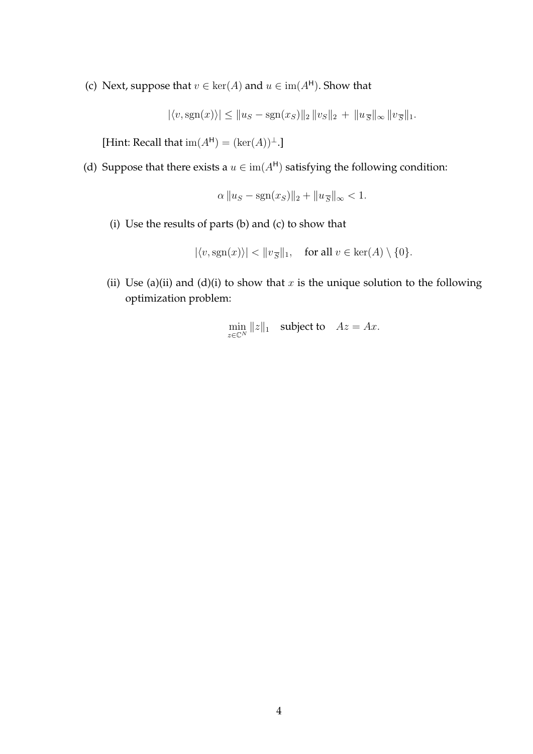(c) Next, suppose that  $v \in \text{ker}(A)$  and  $u \in \text{im}(A^H)$ . Show that

 $|\langle v, \text{sgn}(x) \rangle| \le ||u_S - \text{sgn}(x_S)||_2 ||v_S||_2 + ||u_{\overline{S}}||_{\infty} ||v_{\overline{S}}||_1.$ 

[Hint: Recall that  $\text{im}(A^{\mathsf{H}}) = (\text{ker}(A))^{\perp}$ .]

(d) Suppose that there exists a  $u \in \text{im}(A^H)$  satisfying the following condition:

$$
\alpha \|u_S - \text{sgn}(x_S)\|_2 + \|u_{\overline{S}}\|_{\infty} < 1.
$$

(i) Use the results of parts (b) and (c) to show that

$$
|\langle v, \text{sgn}(x) \rangle| < ||v_{\overline{S}}||_1, \quad \text{for all } v \in \text{ker}(A) \setminus \{0\}.
$$

(ii) Use (a)(ii) and (d)(i) to show that x is the unique solution to the following optimization problem:

$$
\min_{z \in \mathbb{C}^N} ||z||_1 \quad \text{subject to} \quad Az = Ax.
$$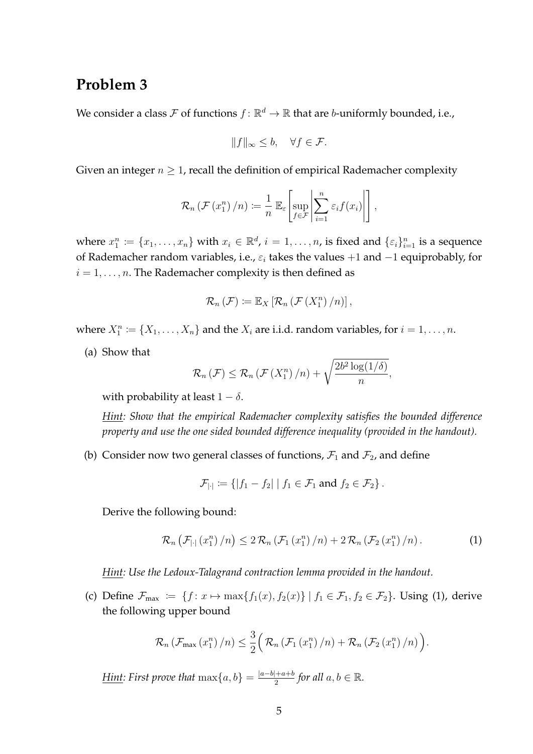We consider a class  $\mathcal F$  of functions  $f\colon\mathbb R^d\to\mathbb R$  that are b-uniformly bounded, i.e.,

$$
||f||_{\infty} \leq b, \quad \forall f \in \mathcal{F}.
$$

Given an integer  $n \geq 1$ , recall the definition of empirical Rademacher complexity

$$
\mathcal{R}_n\left(\mathcal{F}\left(x_1^n\right)/n\right) \coloneqq \frac{1}{n} \mathbb{E}_{\varepsilon}\left[\sup_{f \in \mathcal{F}} \left|\sum_{i=1}^n \varepsilon_i f(x_i)\right|\right],
$$

where  $x_1^n := \{x_1, \ldots, x_n\}$  with  $x_i \in \mathbb{R}^d$ ,  $i = 1, \ldots, n$ , is fixed and  $\{\varepsilon_i\}_{i=1}^n$  is a sequence of Rademacher random variables, i.e.,  $\varepsilon_i$  takes the values +1 and -1 equiprobably, for  $i = 1, \ldots, n$ . The Rademacher complexity is then defined as

$$
\mathcal{R}_n(\mathcal{F}) \coloneqq \mathbb{E}_X\left[\mathcal{R}_n(\mathcal{F}(X_1^n)/n)\right],
$$

where  $X_1^n := \{X_1, \ldots, X_n\}$  and the  $X_i$  are i.i.d. random variables, for  $i = 1, \ldots, n$ .

(a) Show that

$$
\mathcal{R}_n(\mathcal{F}) \leq \mathcal{R}_n(\mathcal{F}(X_1^n)/n) + \sqrt{\frac{2b^2\log(1/\delta)}{n}},
$$

with probability at least  $1 - \delta$ .

*Hint: Show that the empirical Rademacher complexity satisfies the bounded difference property and use the one sided bounded difference inequality (provided in the handout).*

(b) Consider now two general classes of functions,  $\mathcal{F}_1$  and  $\mathcal{F}_2$ , and define

$$
\mathcal{F}_{|\cdot|} \coloneqq \{ |f_1 - f_2| \mid f_1 \in \mathcal{F}_1 \text{ and } f_2 \in \mathcal{F}_2 \}.
$$

Derive the following bound:

$$
\mathcal{R}_n\left(\mathcal{F}_{|\cdot|}\left(x_1^n\right)/n\right) \leq 2\,\mathcal{R}_n\left(\mathcal{F}_1\left(x_1^n\right)/n\right) + 2\,\mathcal{R}_n\left(\mathcal{F}_2\left(x_1^n\right)/n\right). \tag{1}
$$

*Hint: Use the Ledoux-Talagrand contraction lemma provided in the handout.*

(c) Define  $\mathcal{F}_{\text{max}} := \{f: x \mapsto \max\{f_1(x), f_2(x)\} \mid f_1 \in \mathcal{F}_1, f_2 \in \mathcal{F}_2\}$ . Using (1), derive the following upper bound

$$
\mathcal{R}_n\left(\mathcal{F}_{\max}\left(x_1^n\right)/n\right)\leq\frac{3}{2}\left(\mathcal{R}_n\left(\mathcal{F}_1\left(x_1^n\right)/n\right)+\mathcal{R}_n\left(\mathcal{F}_2\left(x_1^n\right)/n\right)\right).
$$

*Hint:* First prove that  $\max\{a, b\} = \frac{|a-b|+a+b}{2}$  $\frac{a+b}{2}$  for all  $a, b \in \mathbb{R}$ .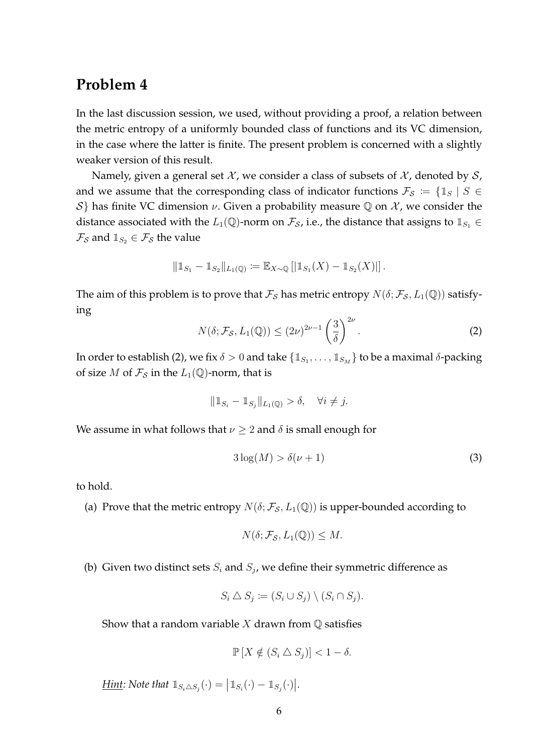In the last discussion session, we used, without providing a proof, a relation between the metric entropy of a uniformly bounded class of functions and its VC dimension, in the case where the latter is finite. The present problem is concerned with a slightly weaker version of this result.

Namely, given a general set  $\mathcal{X}$ , we consider a class of subsets of  $\mathcal{X}$ , denoted by  $\mathcal{S}$ , and we assume that the corresponding class of indicator functions  $\mathcal{F}_{\mathcal{S}} := \{ \mathbb{1}_S \mid S \in$ δ} has finite VC dimension *ν*. Given a probability measure  $Q$  on  $X$ , we consider the distance associated with the  $L_1(\mathbb{Q})$ -norm on  $\mathcal{F}_{\mathcal{S}}$ , i.e., the distance that assigns to  $\mathbb{1}_{S_1} \in$  $\mathcal{F}_{\mathcal{S}}$  and  $\mathbb{1}_{S_2} \in \mathcal{F}_{\mathcal{S}}$  the value

$$
\|\mathbb{1}_{S_1} - \mathbb{1}_{S_2}\|_{L_1(\mathbb{Q})} \coloneqq \mathbb{E}_{X \sim \mathbb{Q}}\left[\left|\mathbb{1}_{S_1}(X) - \mathbb{1}_{S_2}(X)\right|\right].
$$

The aim of this problem is to prove that  $\mathcal{F}_{\mathcal{S}}$  has metric entropy  $N(\delta; \mathcal{F}_{\mathcal{S}}, L_1(\mathbb{Q}))$  satisfying

$$
N(\delta; \mathcal{F}_{\mathcal{S}}, L_1(\mathbb{Q})) \le (2\nu)^{2\nu - 1} \left(\frac{3}{\delta}\right)^{2\nu}.
$$
 (2)

In order to establish (2), we fix  $\delta > 0$  and take  $\{\mathbb{1}_{S_1}, \ldots, \mathbb{1}_{S_M}\}$  to be a maximal  $\delta$ -packing of size *M* of  $\mathcal{F}_{\mathcal{S}}$  in the  $L_1(\mathbb{Q})$ -norm, that is

$$
\|\mathbb{1}_{S_i} - \mathbb{1}_{S_j}\|_{L_1(\mathbb{Q})} > \delta, \quad \forall i \neq j.
$$

We assume in what follows that  $\nu \geq 2$  and  $\delta$  is small enough for

$$
3\log(M) > \delta(\nu + 1)
$$
 (3)

to hold.

(a) Prove that the metric entropy  $N(\delta; \mathcal{F}_{\mathcal{S}}, L_1(\mathbb{Q}))$  is upper-bounded according to

$$
N(\delta; \mathcal{F}_{\mathcal{S}}, L_1(\mathbb{Q})) \leq M.
$$

(b) Given two distinct sets  $S_i$  and  $S_j$ , we define their symmetric difference as

$$
S_i \triangle S_j \coloneqq (S_i \cup S_j) \setminus (S_i \cap S_j).
$$

Show that a random variable  $X$  drawn from  $\mathbb Q$  satisfies

$$
\mathbb{P}[X \notin (S_i \triangle S_j)] < 1 - \delta.
$$

*Hint:* Note that  $\mathbb{1}_{S_i \triangle S_j}(\cdot) = |\mathbb{1}_{S_i}(\cdot) - \mathbb{1}_{S_j}(\cdot)|$ .